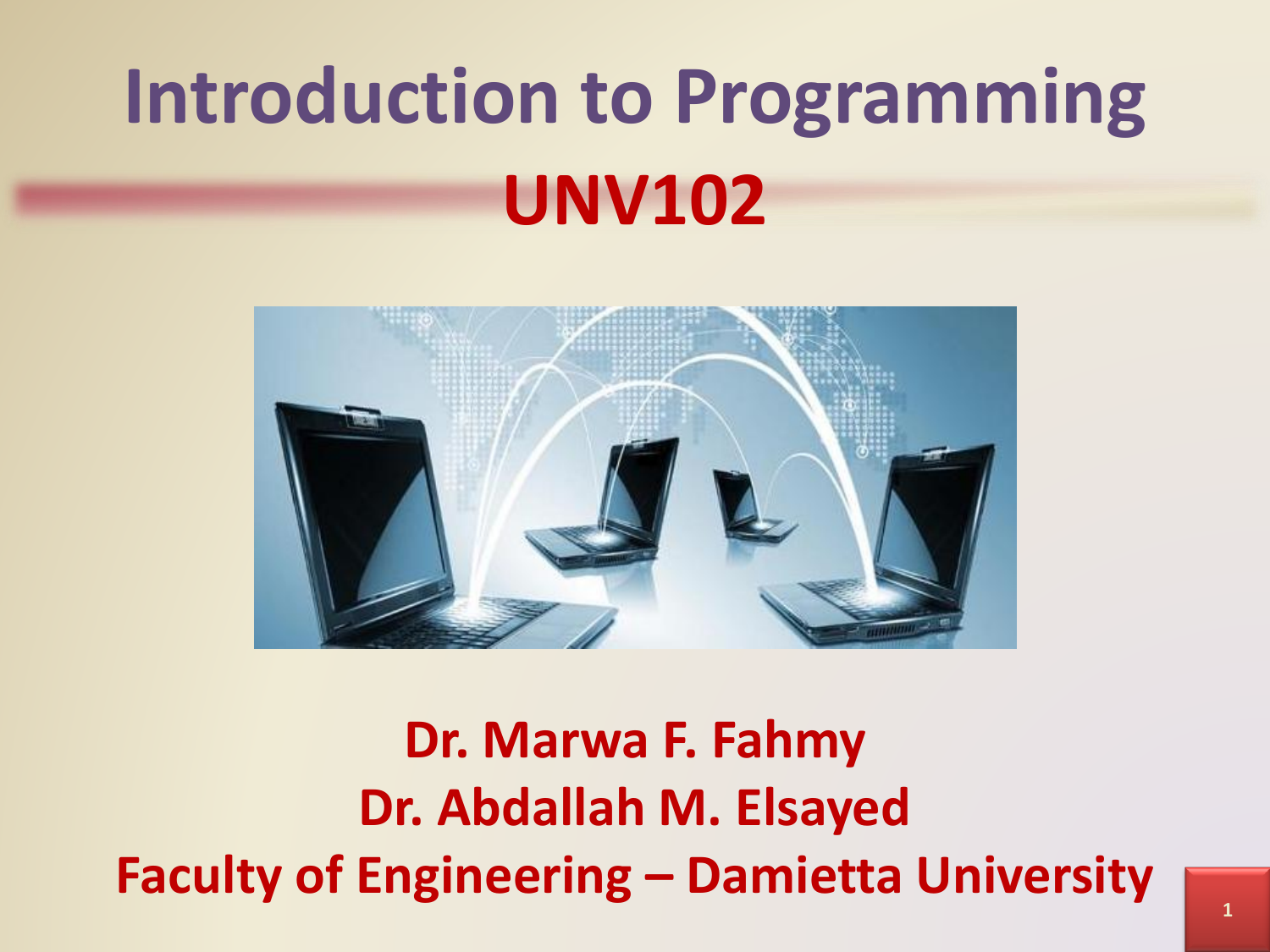# **Introduction to Programming UNV102**



**Dr. Marwa F. Fahmy Dr. Abdallah M. Elsayed Faculty of Engineering – Damietta University**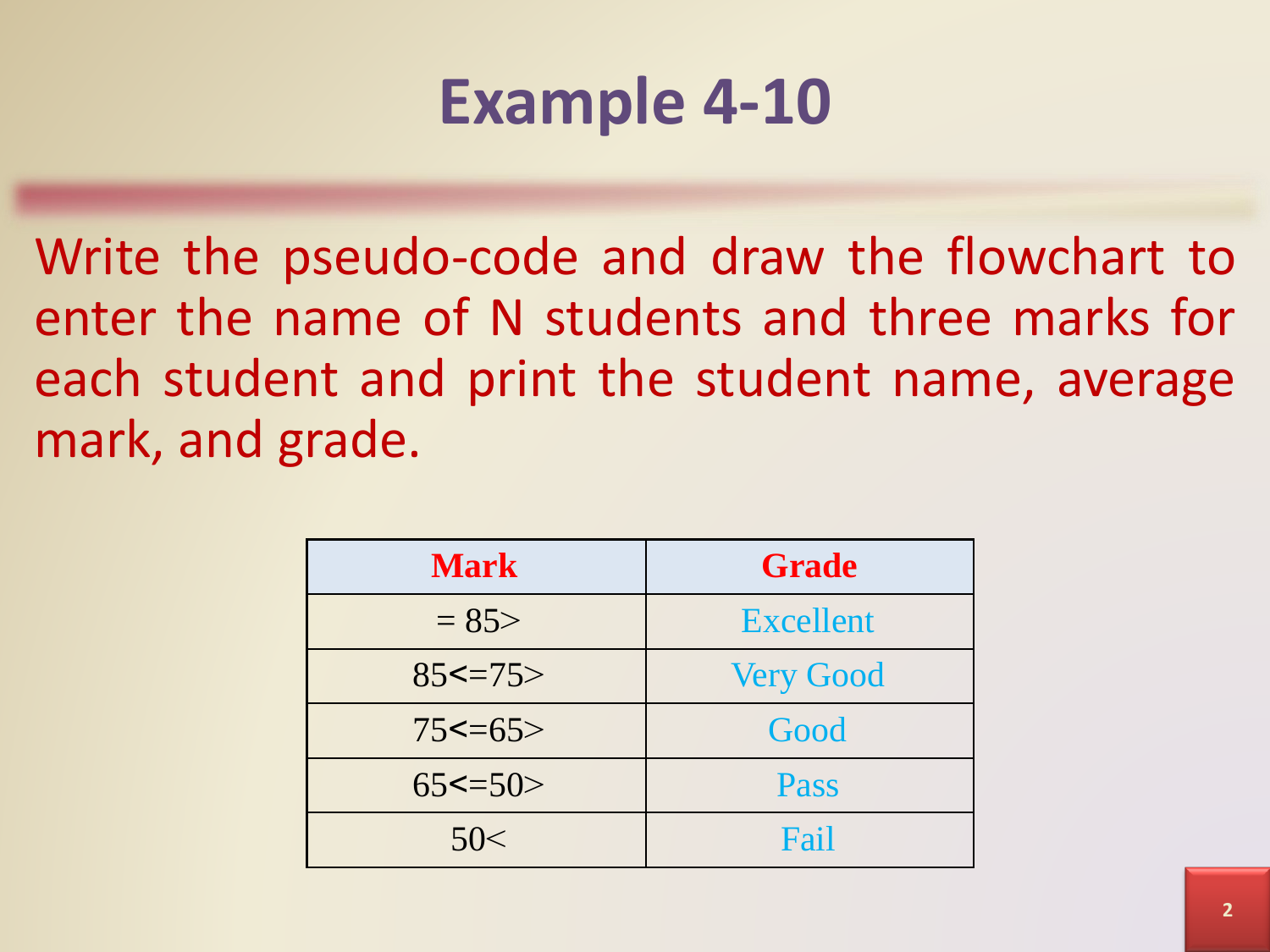# **Example 4-10**

Write the pseudo-code and draw the flowchart to enter the name of N students and three marks for each student and print the student name, average mark, and grade.

| <b>Mark</b>  | <b>Grade</b>     |
|--------------|------------------|
| $= 85$       | <b>Excellent</b> |
| $85 \le -75$ | <b>Very Good</b> |
| $75 \le -65$ | Good             |
| $65 \le -50$ | <b>Pass</b>      |
| 50<          | Fail             |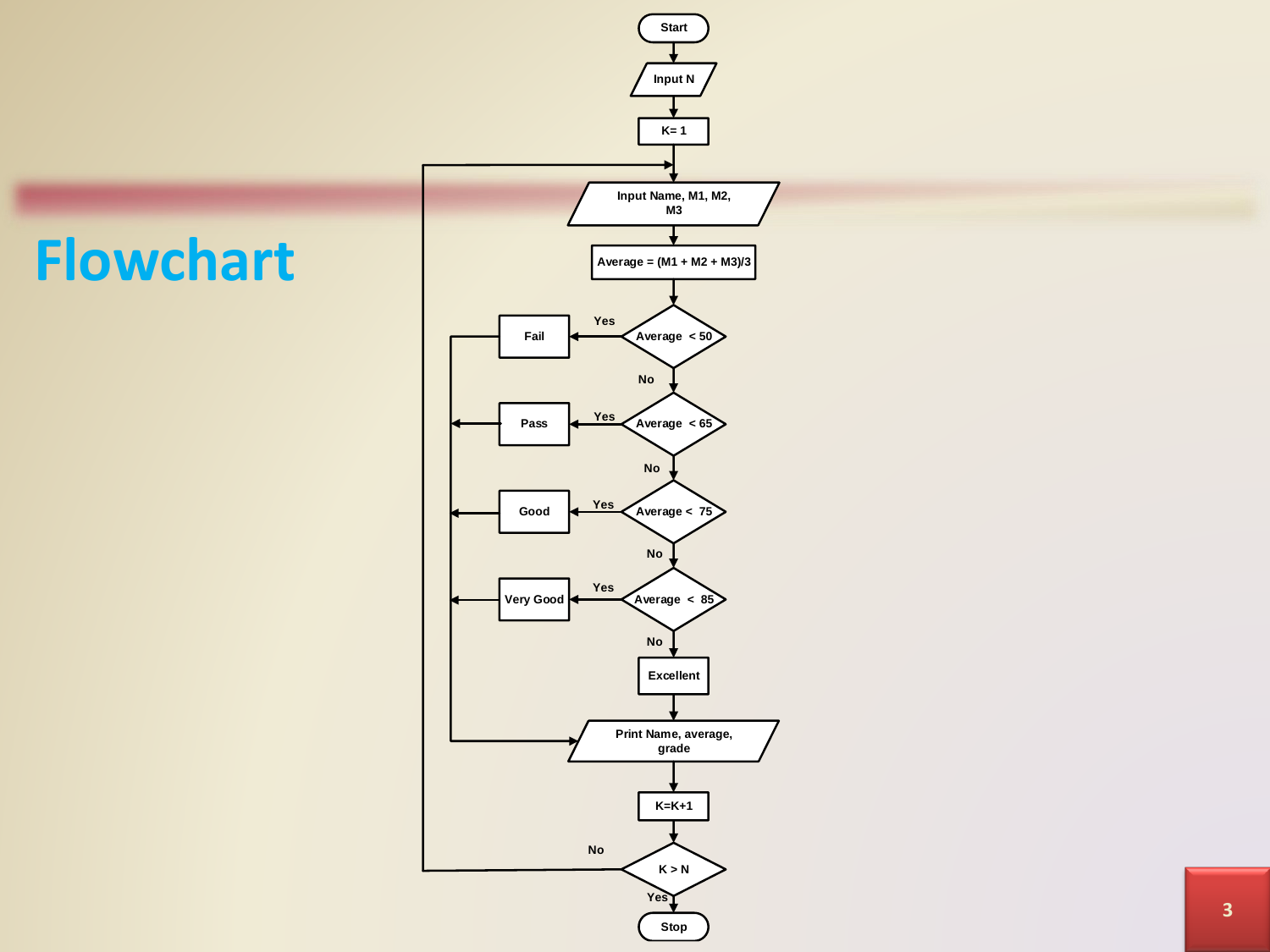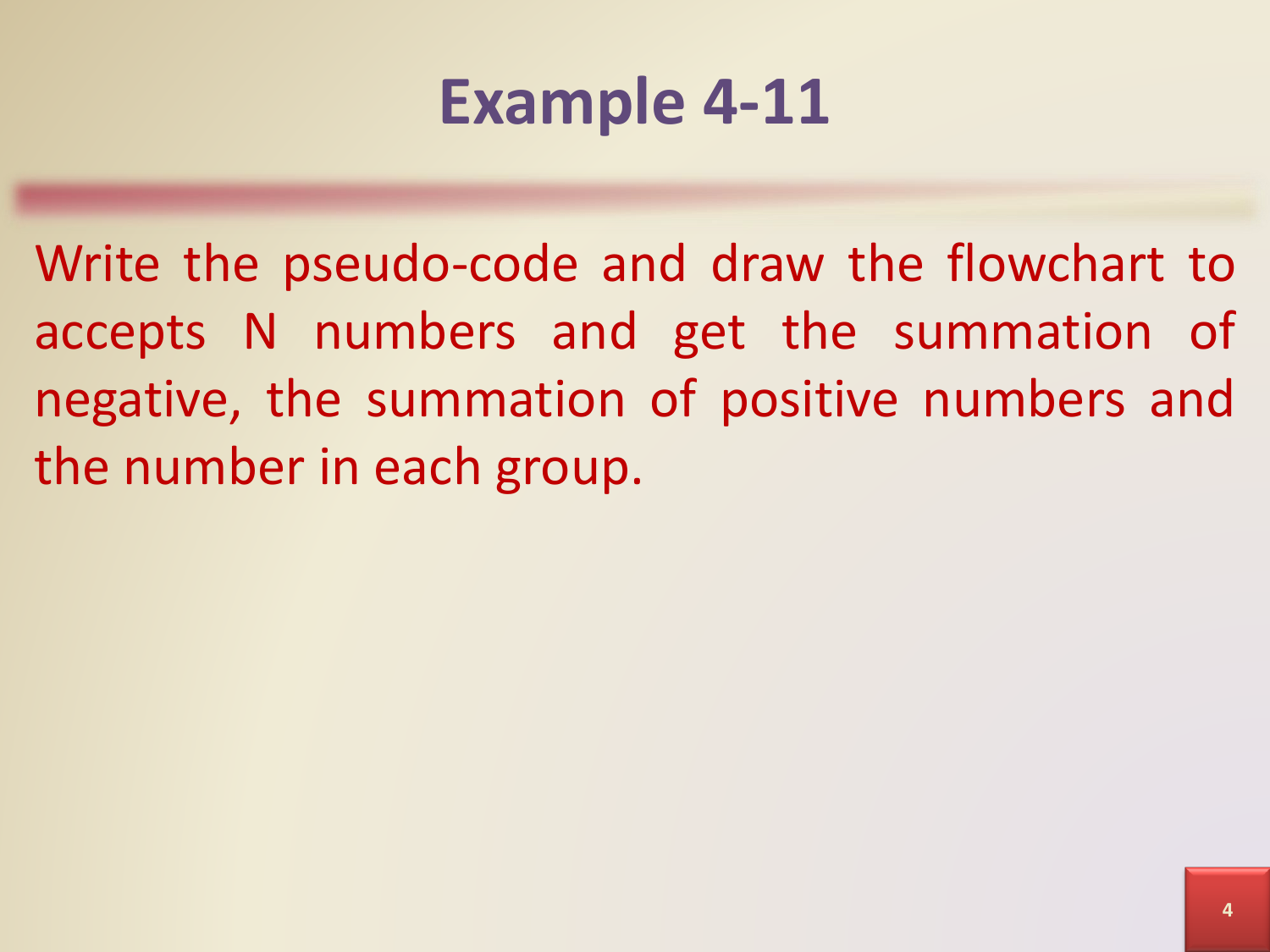## **Example 4-11**

Write the pseudo-code and draw the flowchart to accepts N numbers and get the summation of negative, the summation of positive numbers and the number in each group.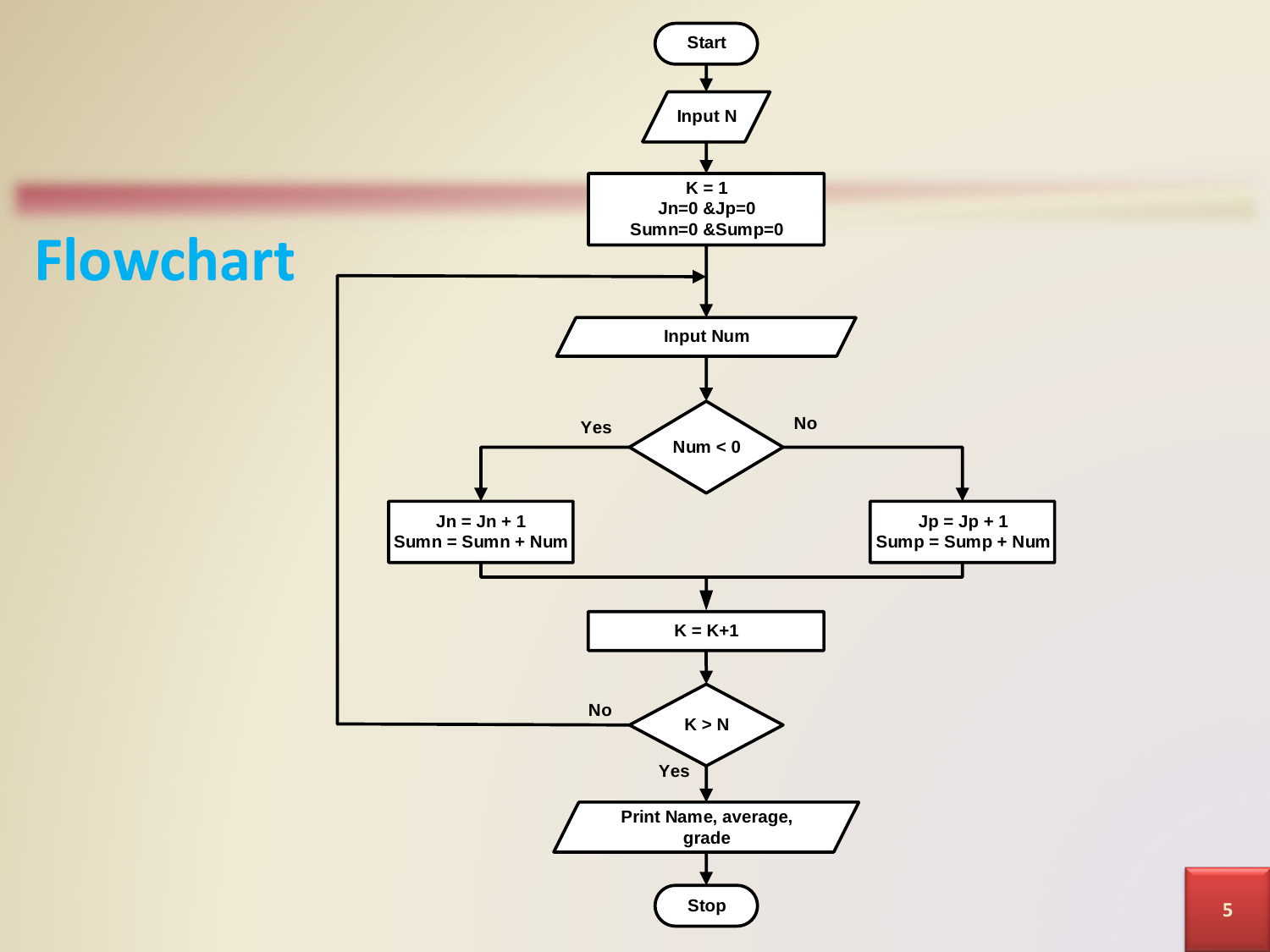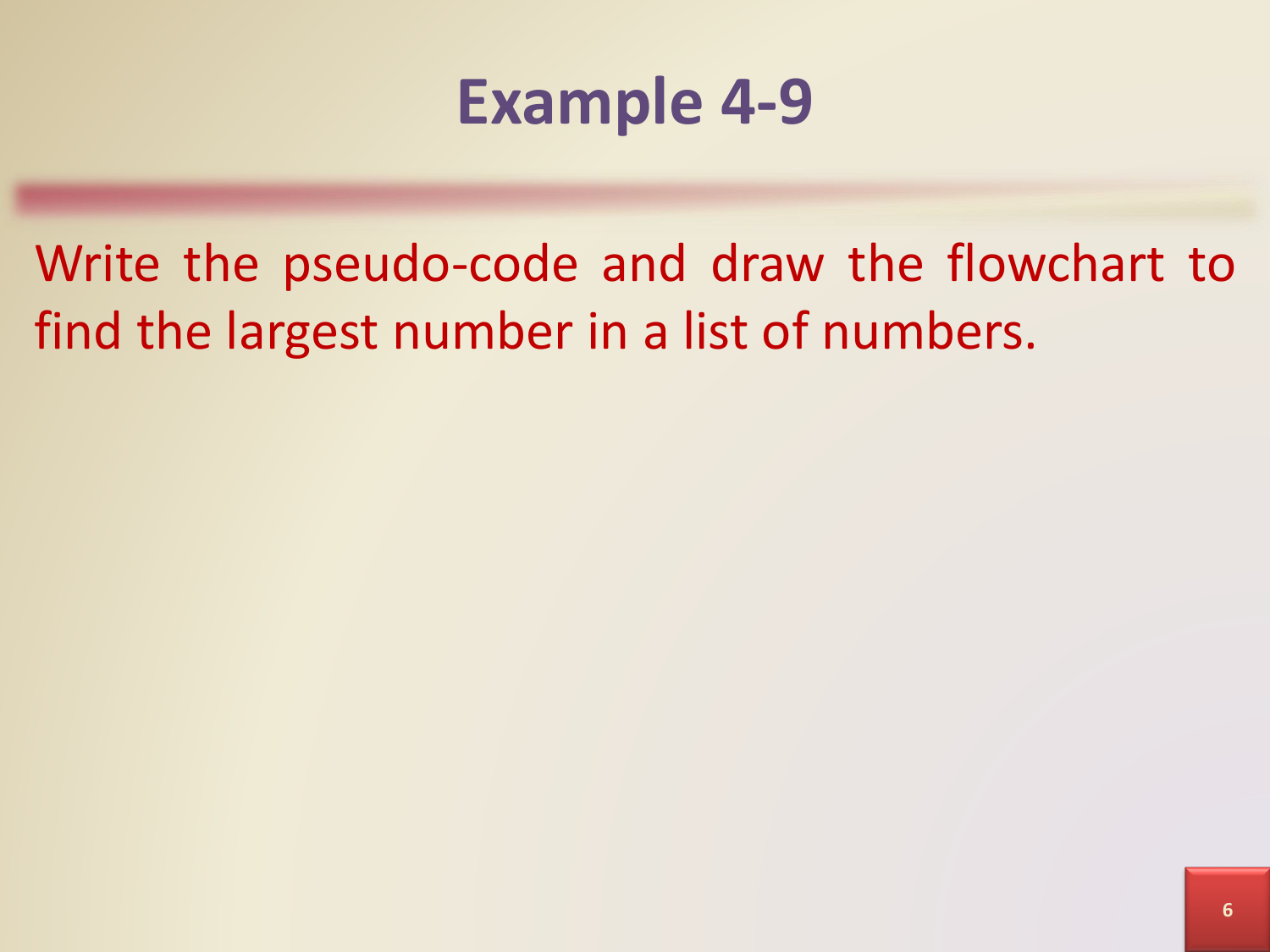#### **Example 4-9**

Write the pseudo-code and draw the flowchart to find the largest number in a list of numbers.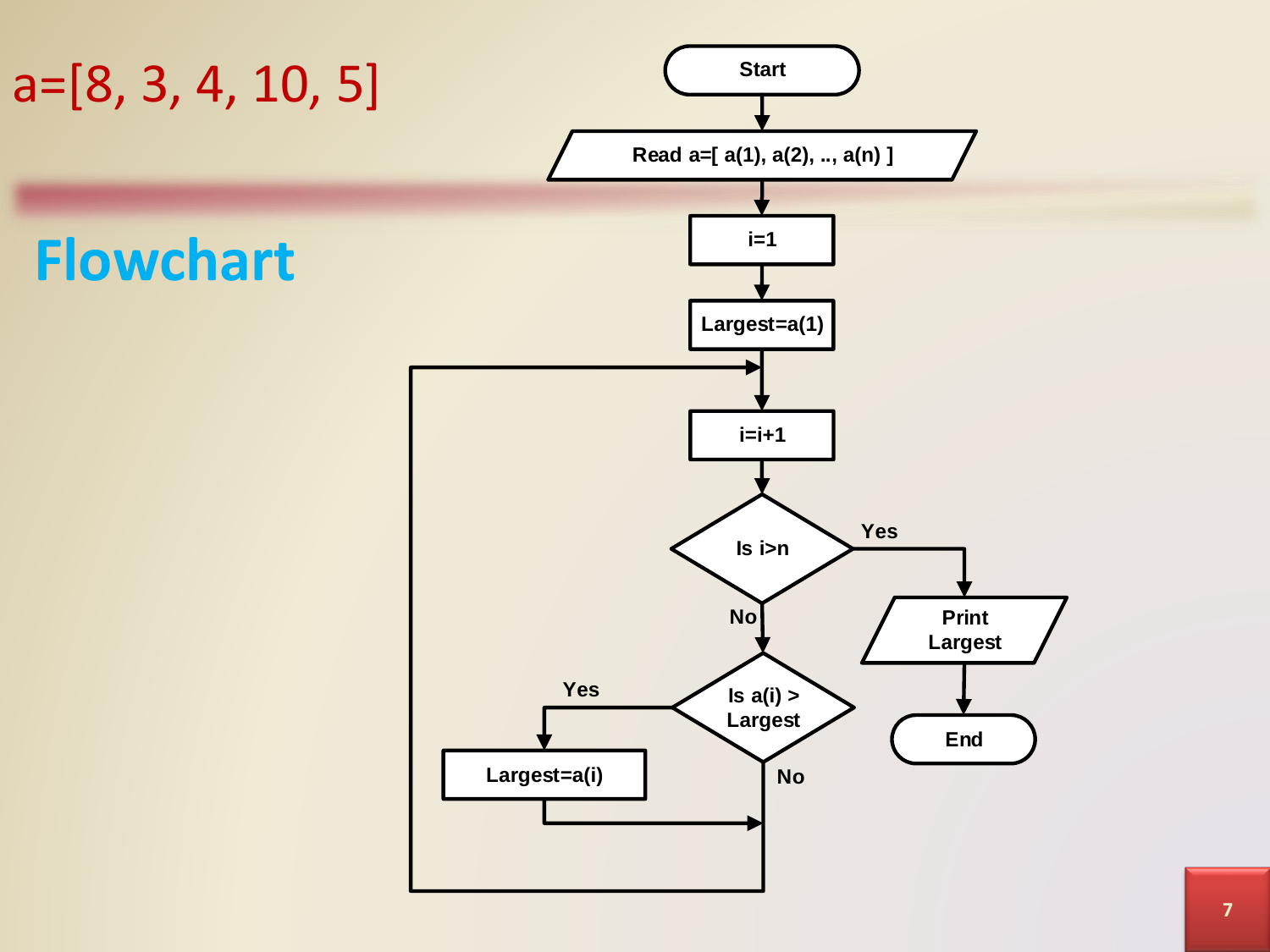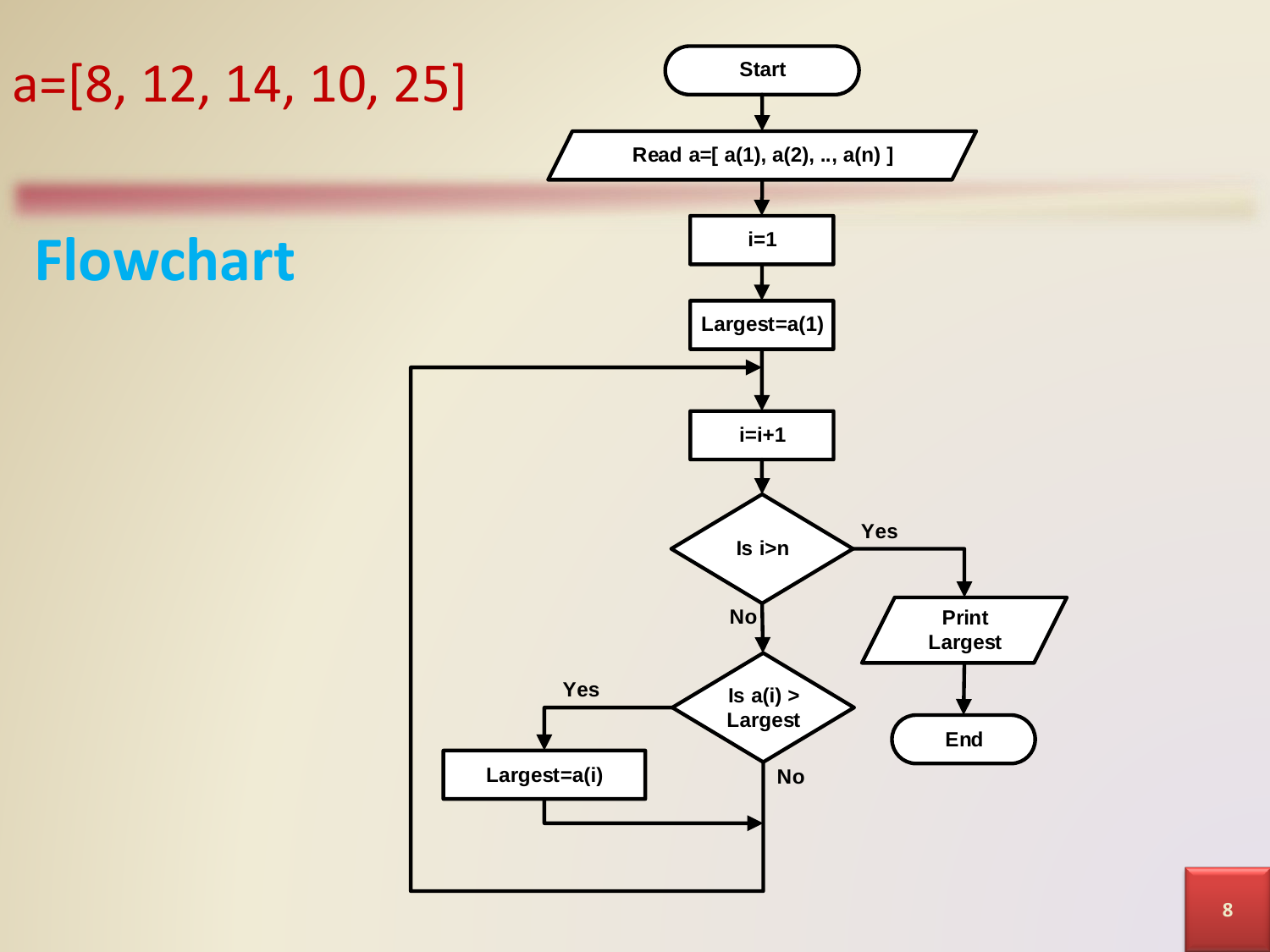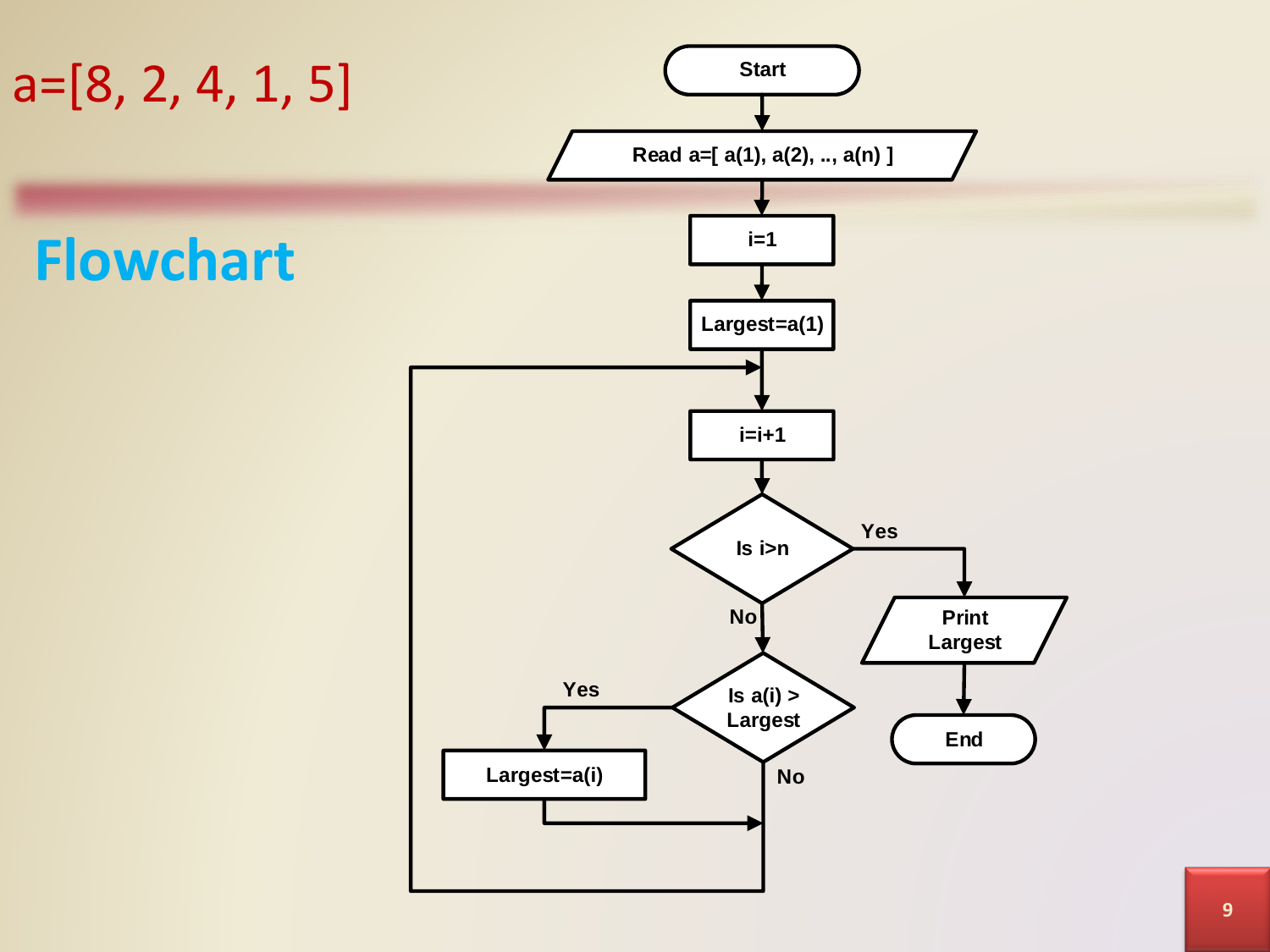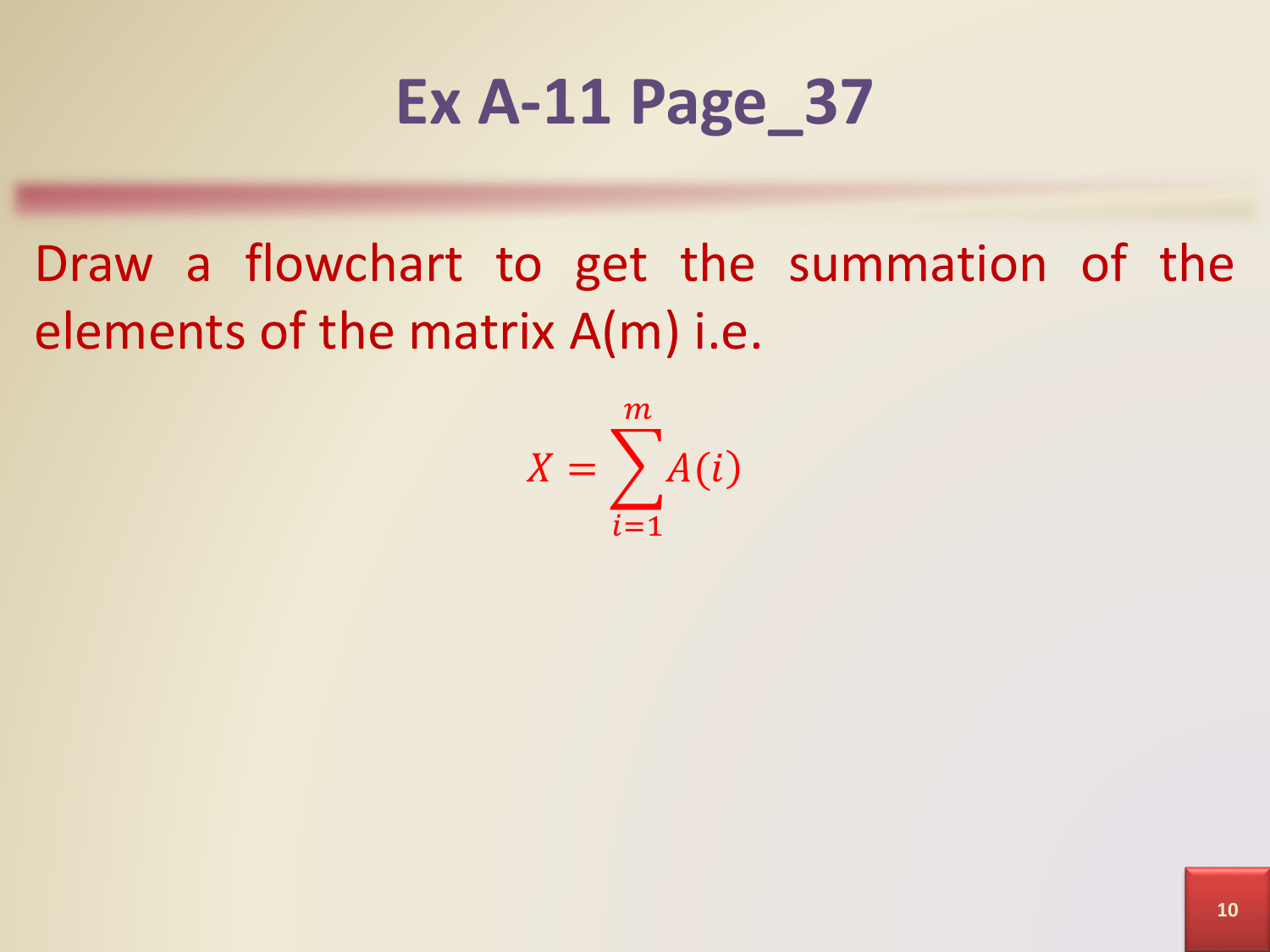### **Ex A-11 Page\_37**

Draw a flowchart to get the summation of the elements of the matrix A(m) i.e.

> $X = \sum$  $i=1$  $\overline{m}$  $A(i)$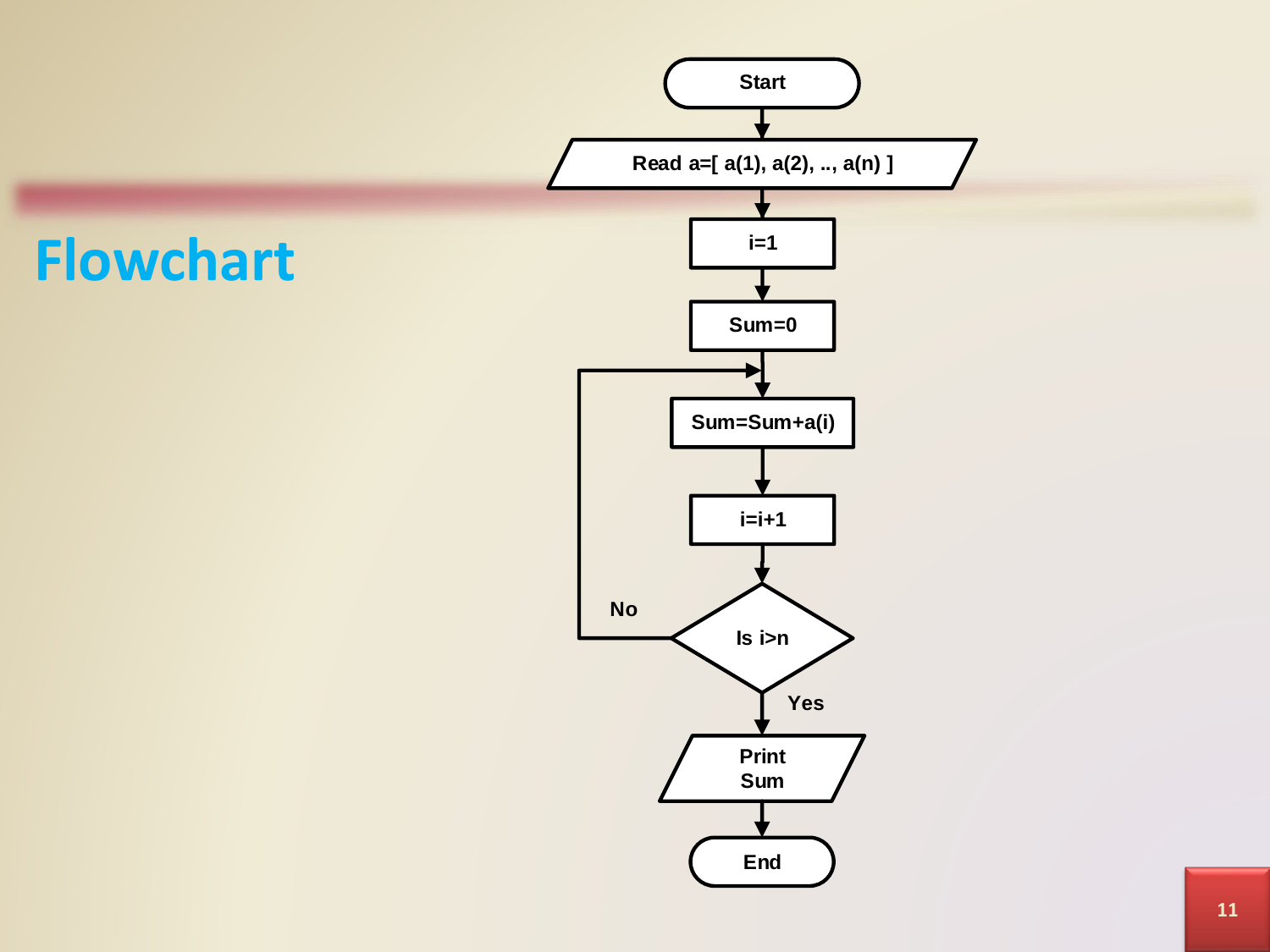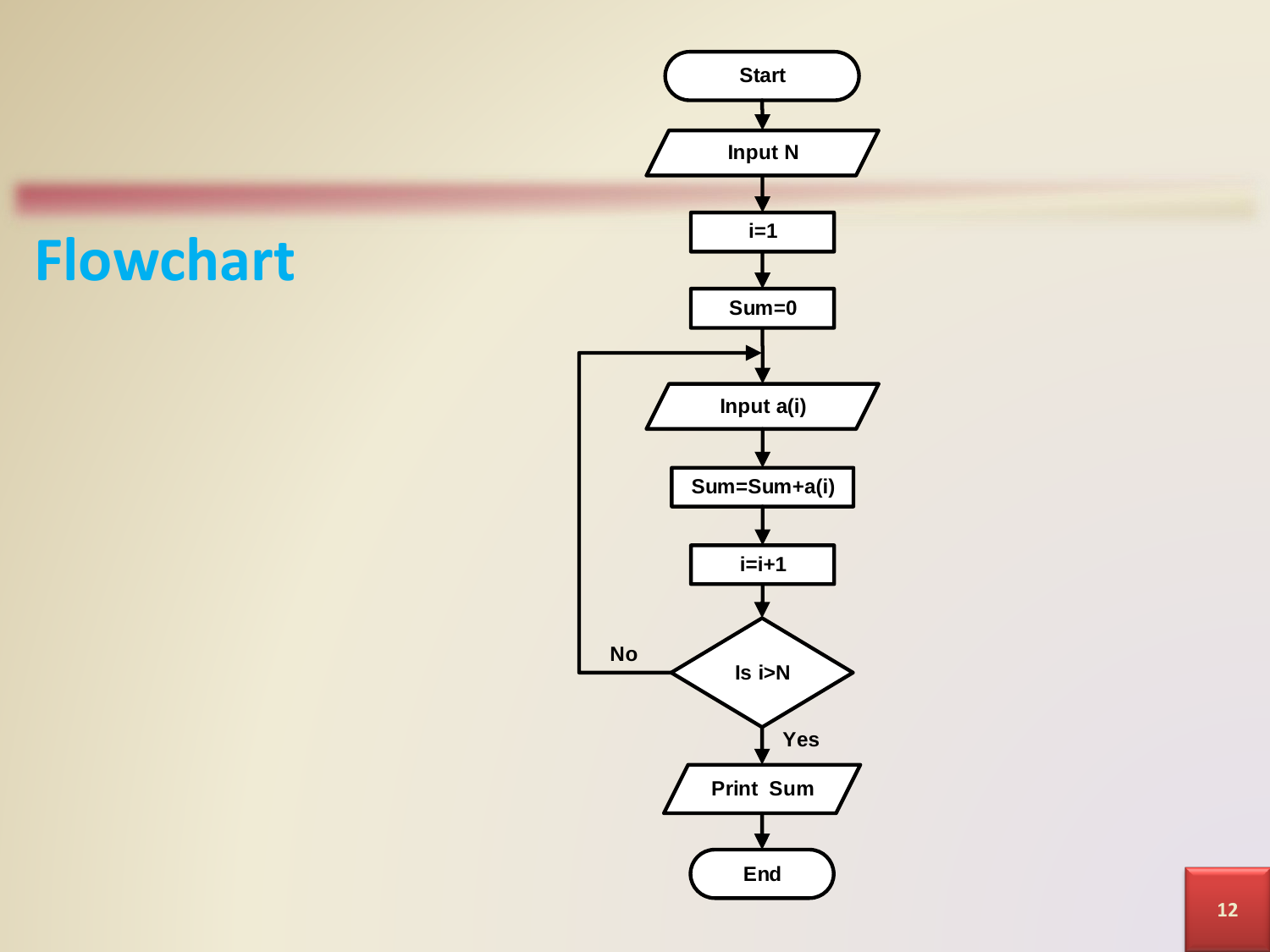#### **Flowchart**

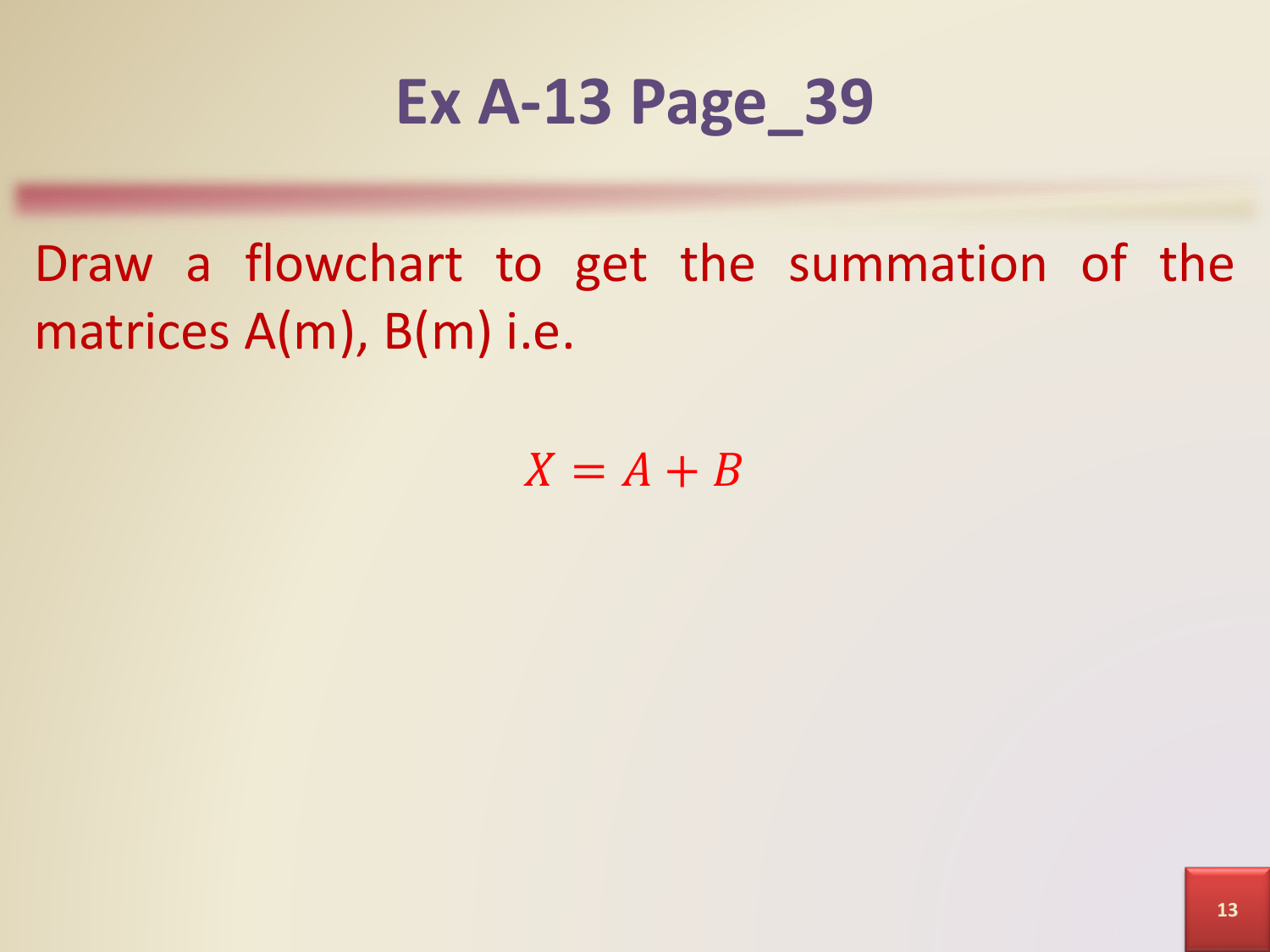### **Ex A-13 Page\_39**

Draw a flowchart to get the summation of the matrices A(m), B(m) i.e.

 $X = A + B$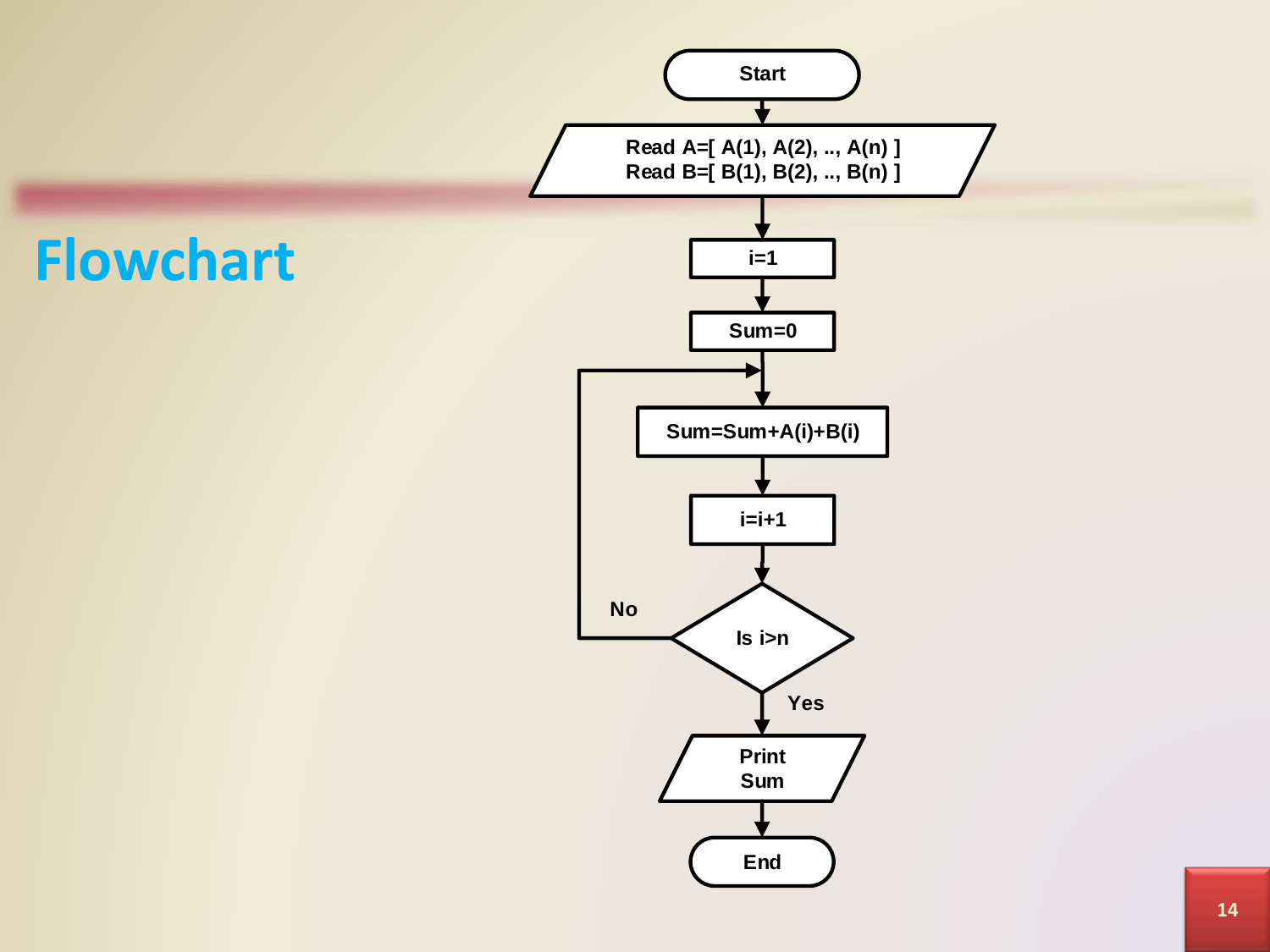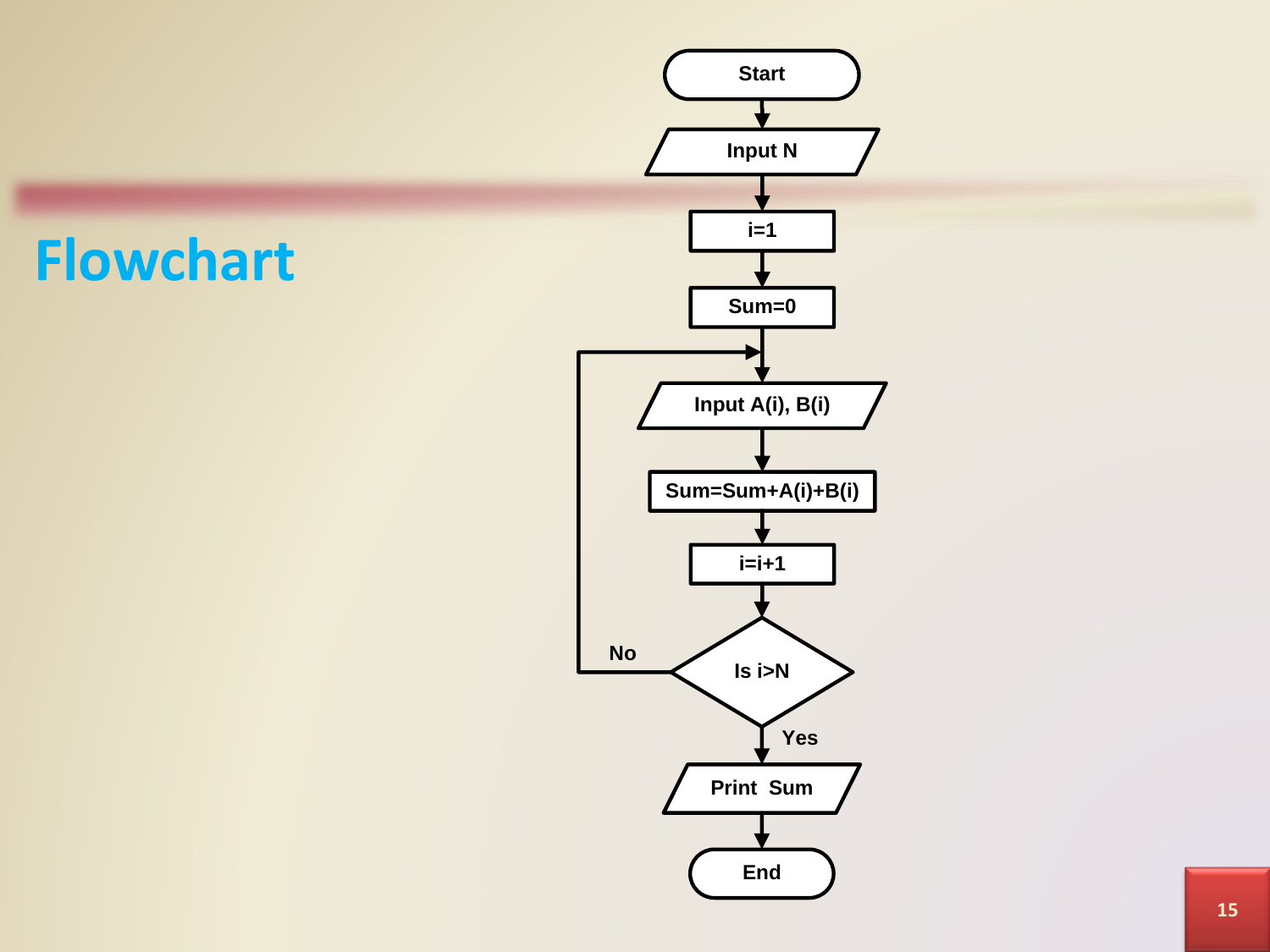#### **Flowchart**

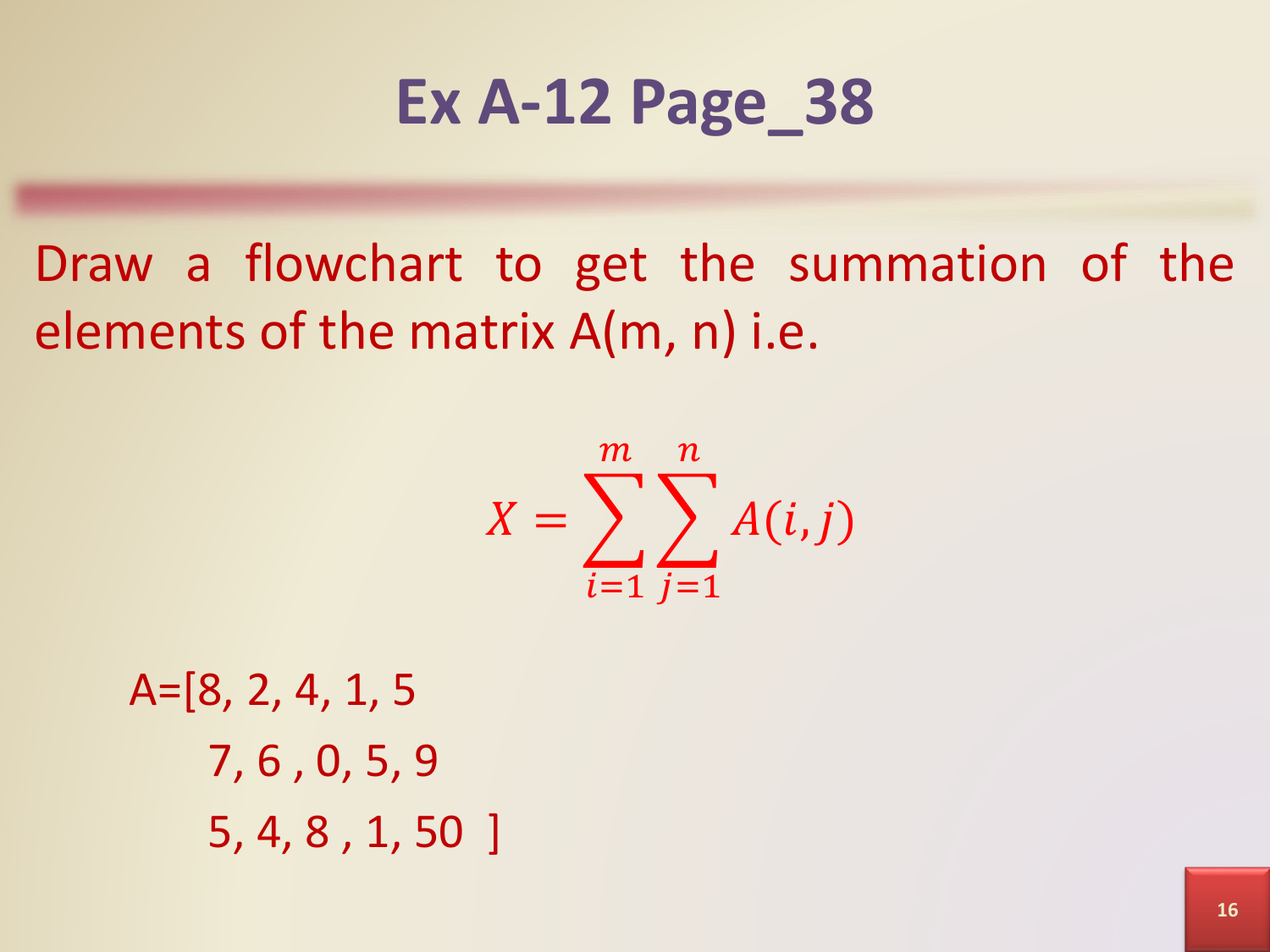### **Ex A-12 Page\_38**

Draw a flowchart to get the summation of the elements of the matrix A(m, n) i.e.

$$
X = \sum_{i=1}^{m} \sum_{j=1}^{n} A(i,j)
$$

A=[8, 2, 4, 1, 5 7, 6 , 0, 5, 9 5, 4, 8 , 1, 50 ]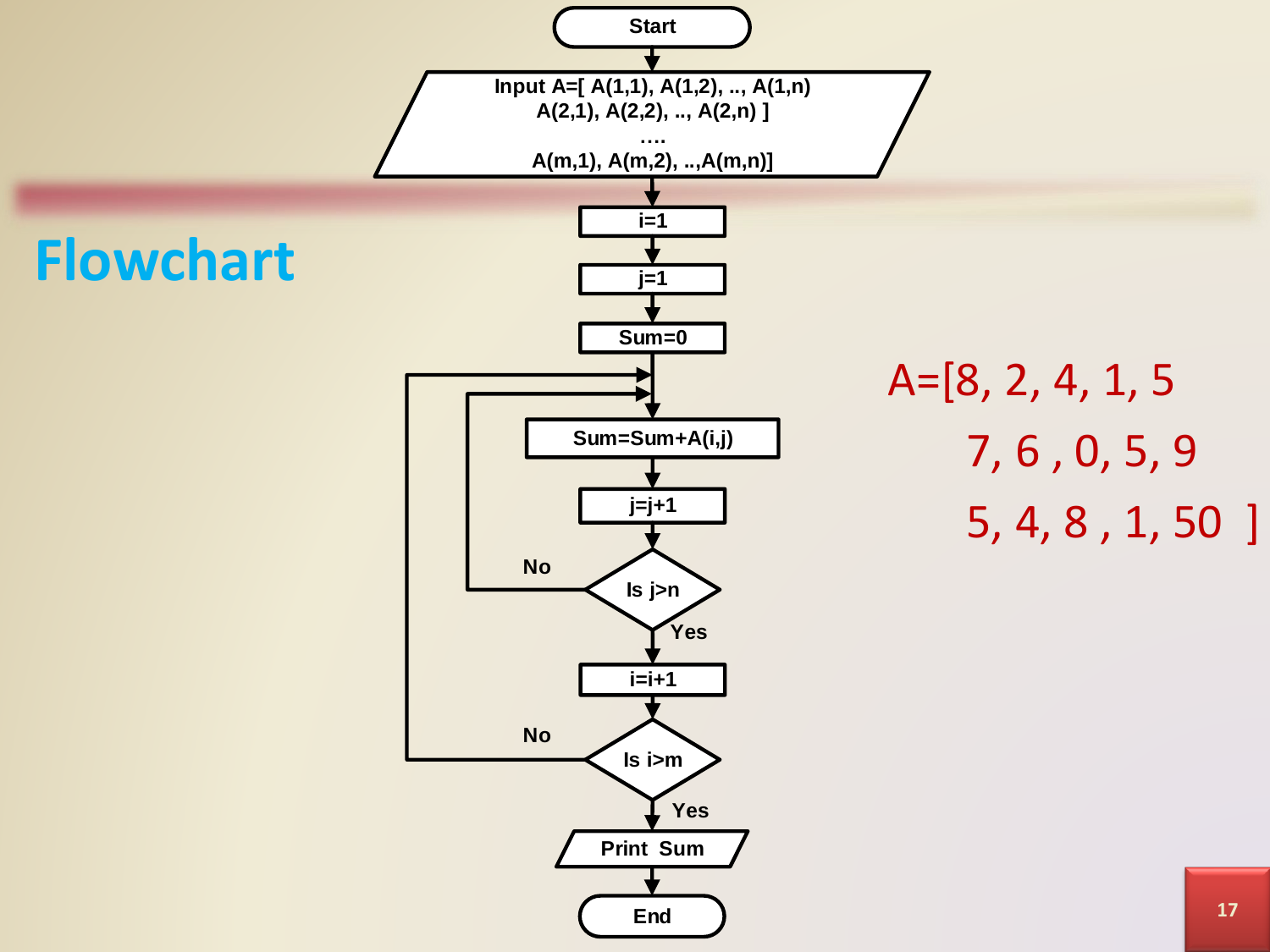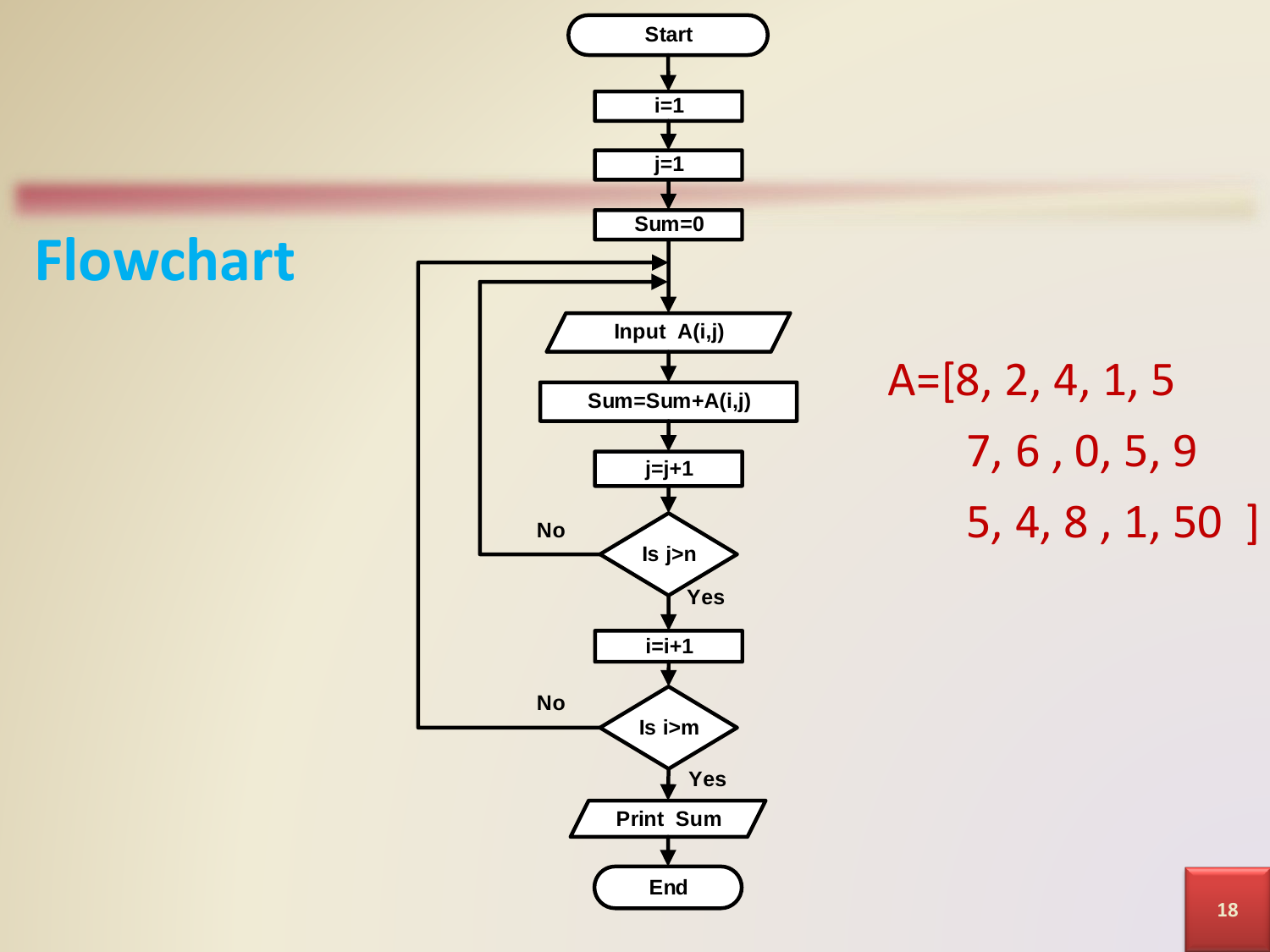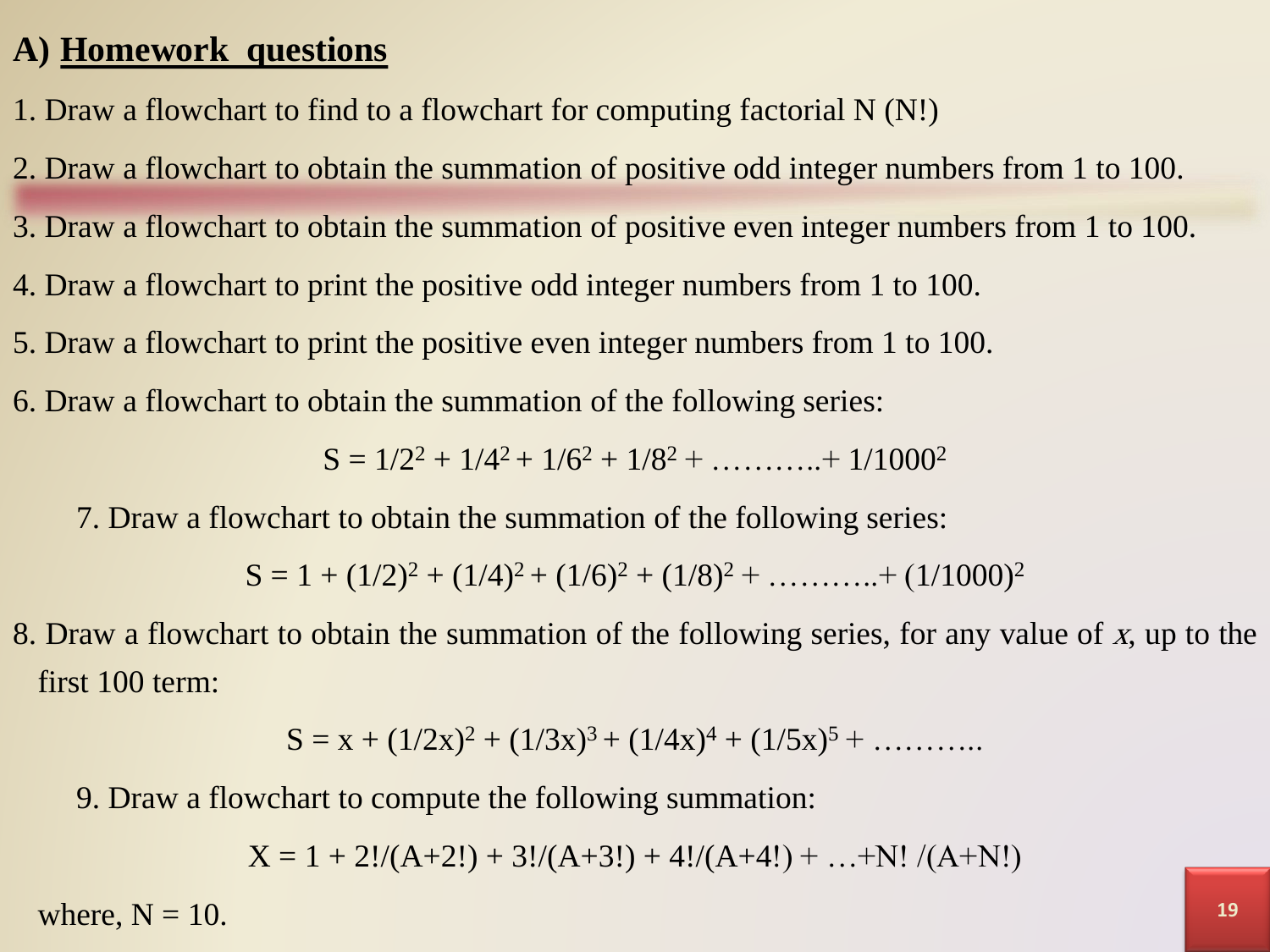#### **A) Homework questions**

- 1. Draw a flowchart to find to a flowchart for computing factorial N (N!)
- 2. Draw a flowchart to obtain the summation of positive odd integer numbers from 1 to 100.
- 3. Draw a flowchart to obtain the summation of positive even integer numbers from 1 to 100.
- 4. Draw a flowchart to print the positive odd integer numbers from 1 to 100.
- 5. Draw a flowchart to print the positive even integer numbers from 1 to 100.
- 6. Draw a flowchart to obtain the summation of the following series:

 $S = 1/2^2 + 1/4^2 + 1/6^2 + 1/8^2 + \dots + 1/1000^2$ 

7. Draw a flowchart to obtain the summation of the following series:

 $S = 1 + (1/2)^2 + (1/4)^2 + (1/6)^2 + (1/8)^2 + \dots + (1/1000)^2$ 

8. Draw a flowchart to obtain the summation of the following series, for any value of <sup>x</sup>, up to the first 100 term:

$$
S = x + (1/2x)^2 + (1/3x)^3 + (1/4x)^4 + (1/5x)^5 + \dots
$$

9. Draw a flowchart to compute the following summation:

 $X = 1 + 2!/(A+2!) + 3!/(A+3!) + 4!/(A+4!) + ... + N!/(A+N!)$ 

where,  $N = 10$ .